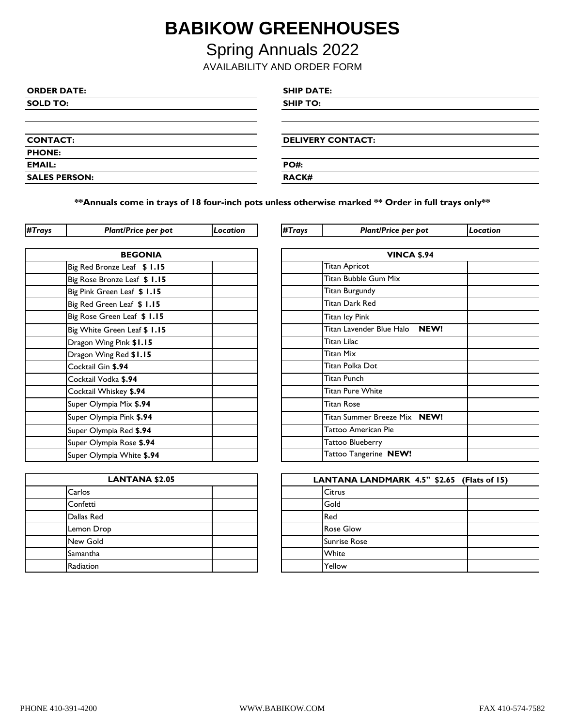## **BABIKOW GREENHOUSES**

Spring Annuals 2022

AVAILABILITY AND ORDER FORM

| <b>ORDER DATE:</b>   | <b>SHIP DATE:</b>        |
|----------------------|--------------------------|
| <b>SOLD TO:</b>      | <b>SHIP TO:</b>          |
|                      |                          |
|                      |                          |
| <b>CONTACT:</b>      | <b>DELIVERY CONTACT:</b> |
| <b>PHONE:</b>        |                          |
| <b>EMAIL:</b>        | <b>PO#:</b>              |
| <b>SALES PERSON:</b> | <b>RACK#</b>             |

**\*\*Annuals come in trays of 18 four-inch pots unless otherwise marked \*\* Order in full trays only\*\***

| <b>BEGONIA</b>               | <b>VINCA \$.94</b>            |
|------------------------------|-------------------------------|
| Big Red Bronze Leaf \$ 1.15  | Titan Apricot                 |
| Big Rose Bronze Leaf \$ 1.15 | Titan Bubble Gum Mix          |
| Big Pink Green Leaf \$ 1.15  | <b>Titan Burgundy</b>         |
| Big Red Green Leaf \$ 1.15   | Titan Dark Red                |
| Big Rose Green Leaf \$ 1.15  | Titan Icy Pink                |
| Big White Green Leaf \$ 1.15 | Titan Lavender Blue Halo NEW! |
| Dragon Wing Pink \$1.15      | Titan Lilac                   |
| Dragon Wing Red \$1.15       | <b>Titan Mix</b>              |
| Cocktail Gin \$.94           | Titan Polka Dot               |
| Cocktail Vodka \$.94         | Titan Punch                   |
| Cocktail Whiskey \$.94       | <b>Titan Pure White</b>       |
| Super Olympia Mix \$.94      | <b>Titan Rose</b>             |
| Super Olympia Pink \$.94     | Titan Summer Breeze Mix NEW!  |
| Super Olympia Red \$.94      | Tattoo American Pie           |
| Super Olympia Rose \$.94     | Tattoo Blueberry              |
| Super Olympia White \$.94    | Tattoo Tangerine NEW!         |

| #Trays | Plant/Price per pot          | Location | #Trays                           | Plant/Price per pot     | Location |
|--------|------------------------------|----------|----------------------------------|-------------------------|----------|
|        |                              |          |                                  |                         |          |
|        | <b>BEGONIA</b>               |          |                                  | <b>VINCA \$.94</b>      |          |
|        | Big Red Bronze Leaf \$ 1.15  |          |                                  | <b>Titan Apricot</b>    |          |
|        | Big Rose Bronze Leaf \$ 1.15 |          |                                  | Titan Bubble Gum Mix    |          |
|        | Big Pink Green Leaf \$ 1.15  |          |                                  | Titan Burgundy          |          |
|        | Big Red Green Leaf \$ 1.15   |          |                                  | Titan Dark Red          |          |
|        | Big Rose Green Leaf \$ 1.15  |          |                                  | Titan Icy Pink          |          |
|        | Big White Green Leaf \$ 1.15 |          | Titan Lavender Blue Halo<br>NEW! |                         |          |
|        | Dragon Wing Pink \$1.15      |          |                                  | Titan Lilac             |          |
|        | Dragon Wing Red \$1.15       |          | <b>Titan Mix</b>                 |                         |          |
|        | Cocktail Gin \$.94           |          | Titan Polka Dot                  |                         |          |
|        | Cocktail Vodka \$.94         |          |                                  | <b>Titan Punch</b>      |          |
|        | Cocktail Whiskey \$.94       |          |                                  | <b>Titan Pure White</b> |          |
|        | Super Olympia Mix \$.94      |          | <b>Titan Rose</b>                |                         |          |
|        | Super Olympia Pink \$.94     |          | Titan Summer Breeze Mix NEW!     |                         |          |
|        | Super Olympia Red \$.94      |          | Tattoo American Pie              |                         |          |
|        | Super Olympia Rose \$.94     |          | Tattoo Blueberry                 |                         |          |
|        | Super Olympia White \$.94    |          |                                  | Tattoo Tangerine NEW!   |          |

| <b>LANTANA \$2.05</b> |  |  | <b>LANTANAL</b>     |
|-----------------------|--|--|---------------------|
| Carlos                |  |  | Citrus              |
| Confetti              |  |  | Gold                |
| Dallas Red            |  |  | Red                 |
| Lemon Drop            |  |  | <b>Rose Glow</b>    |
| New Gold              |  |  | <b>Sunrise Rose</b> |
| Samantha              |  |  | White               |
| Radiation             |  |  | Yellow              |

| LANTANA LANDMARK 4.5" \$2.65 (Flats of 15) |                     |  |  |  |  |
|--------------------------------------------|---------------------|--|--|--|--|
|                                            | <b>Citrus</b>       |  |  |  |  |
|                                            | Gold                |  |  |  |  |
|                                            | Red                 |  |  |  |  |
|                                            | <b>Rose Glow</b>    |  |  |  |  |
|                                            | <b>Sunrise Rose</b> |  |  |  |  |
|                                            | White               |  |  |  |  |
|                                            | Yellow              |  |  |  |  |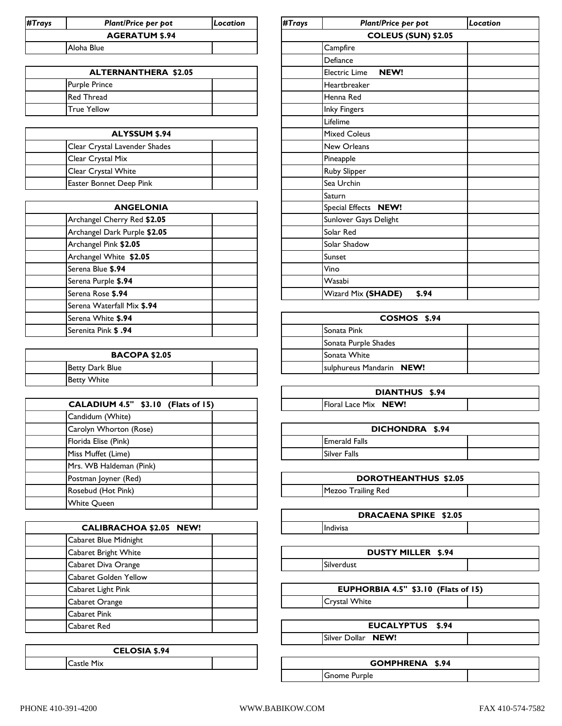| #Trays     | <b>Plant/Price per pot</b> | Location |                            | #Trays<br><b>Plant/Price per pot</b> |           | Location |
|------------|----------------------------|----------|----------------------------|--------------------------------------|-----------|----------|
|            | <b>AGERATUM \$.94</b>      |          | <b>COLEUS (SUN) \$2.05</b> |                                      |           |          |
| Aloha Blue |                            |          |                            | Campfire                             |           |          |
|            |                            |          |                            |                                      | lDefiance |          |

| <b>ALTERNANTHERA \$2.05</b> |  | <b>Electric Lime</b> |
|-----------------------------|--|----------------------|
| <b>Purple Prince</b>        |  | <b>Heartbreaker</b>  |
| <b>Red Thread</b>           |  | lHenna Red           |
| True Yellow                 |  | <b>Inky Fingers</b>  |

| <b>ALYSSUM \$.94</b>           |  | <b>Mixed Coleus</b> |
|--------------------------------|--|---------------------|
| Clear Crystal Lavender Shades  |  | <b>New Orleans</b>  |
| Clear Crystal Mix              |  | Pineapple           |
| <b>Clear Crystal White</b>     |  | <b>Ruby Slipper</b> |
| <b>Easter Bonnet Deep Pink</b> |  | Sea Urchin          |

| <b>ANGELONIA</b>             |  | Special Effects NEW!        |
|------------------------------|--|-----------------------------|
| Archangel Cherry Red \$2.05  |  | Sunlover Gays Delight       |
| Archangel Dark Purple \$2.05 |  | Solar Red                   |
| Archangel Pink \$2.05        |  | Solar Shadow                |
| Archangel White \$2.05       |  | Sunset                      |
| Serena Blue \$.94            |  | Vino                        |
| Serena Purple \$.94          |  | Wasabi                      |
| Serena Rose \$.94            |  | \$.94<br>Wizard Mix (SHADE) |
| Serena Waterfall Mix \$.94   |  |                             |
| Serena White \$.94           |  | COSMOS \$.                  |
| <b>Serenita Pink \$.94</b>   |  | Sonata Pink                 |
|                              |  |                             |

| <b>BACOPA \$2.05</b> |  | Sonata White                     |  |
|----------------------|--|----------------------------------|--|
| Betty Dark Blue      |  | <b>Isulphureus Mandarin NEW!</b> |  |
| <b>Betty White</b>   |  |                                  |  |

| CALADIUM 4.5" \$3.10 (Flats of 15) | Floral Lace Mix N         |
|------------------------------------|---------------------------|
| Candidum (White)                   |                           |
| Carolyn Whorton (Rose)             | DICI                      |
| Florida Elise (Pink)               | <b>Emerald Falls</b>      |
| Miss Muffet (Lime)                 | Silver Falls              |
| Mrs. WB Haldeman (Pink)            |                           |
| Postman Joyner (Red)               | <b>DOROT</b>              |
| Rosebud (Hot Pink)                 | <b>Mezoo Trailing Red</b> |
| <b>White Queen</b>                 |                           |

| <b>CALIBRACHOA \$2.05 NEW!</b> |  |
|--------------------------------|--|
| Cabaret Blue Midnight          |  |
| Cabaret Bright White           |  |
| Cabaret Diva Orange            |  |
| Cabaret Golden Yellow          |  |
| Cabaret Light Pink             |  |
| Cabaret Orange                 |  |
| Cabaret Pink                   |  |
| Cabaret Red                    |  |

| <b>CELOSIA \$.94</b> |            |  |  |  |  |
|----------------------|------------|--|--|--|--|
|                      | Castle Mix |  |  |  |  |

| #Trays | Plant/Price per pot          | Location |  |  |  |  |  |
|--------|------------------------------|----------|--|--|--|--|--|
|        | <b>COLEUS (SUN) \$2.05</b>   |          |  |  |  |  |  |
|        | Campfire                     |          |  |  |  |  |  |
|        | Defiance                     |          |  |  |  |  |  |
|        | Electric Lime<br><b>NEW!</b> |          |  |  |  |  |  |
|        | Heartbreaker                 |          |  |  |  |  |  |
|        | Henna Red                    |          |  |  |  |  |  |
|        | <b>Inky Fingers</b>          |          |  |  |  |  |  |
|        | Lifelime                     |          |  |  |  |  |  |
|        | <b>Mixed Coleus</b>          |          |  |  |  |  |  |
|        | <b>New Orleans</b>           |          |  |  |  |  |  |
|        | Pineapple                    |          |  |  |  |  |  |
|        | Ruby Slipper                 |          |  |  |  |  |  |
|        | Sea Urchin                   |          |  |  |  |  |  |
|        | Saturn                       |          |  |  |  |  |  |
|        | Special Effects NEW!         |          |  |  |  |  |  |
|        | Sunlover Gays Delight        |          |  |  |  |  |  |
|        | Solar Red                    |          |  |  |  |  |  |
|        | Solar Shadow                 |          |  |  |  |  |  |
|        | Sunset                       |          |  |  |  |  |  |
|        | Vino                         |          |  |  |  |  |  |
|        | Wasabi                       |          |  |  |  |  |  |
|        | Wizard Mix (SHADE)<br>\$.94  |          |  |  |  |  |  |

| COSMOS \$.94 |                          |  |  |  |
|--------------|--------------------------|--|--|--|
|              | <b>Sonata Pink</b>       |  |  |  |
|              | Sonata Purple Shades     |  |  |  |
|              | Sonata White             |  |  |  |
|              | sulphureus Mandarin NEW! |  |  |  |

| DIANTHUS \$.94 |                             |  |  |  |  |
|----------------|-----------------------------|--|--|--|--|
|                | <b>Floral Lace Mix NEW!</b> |  |  |  |  |

| DICHONDRA \$.94 |                      |  |  |  |
|-----------------|----------------------|--|--|--|
|                 | <b>Emerald Falls</b> |  |  |  |
|                 | Silver Falls         |  |  |  |

| <b>DOROTHEANTHUS \$2.05</b> |  |  |  |
|-----------------------------|--|--|--|
| Mezoo Trailing Red          |  |  |  |
|                             |  |  |  |

Indivisa **DRACAENA SPIKE \$2.05**

Silverdust **DUSTY MILLER \$.94**

Crystal White **EUPHORBIA 4.5" \$3.10 (Flats of 15)**

Silver Dollar **NEW! EUCALYPTUS \$.94**

**GOMPHRENA \$.94**

Gnome Purple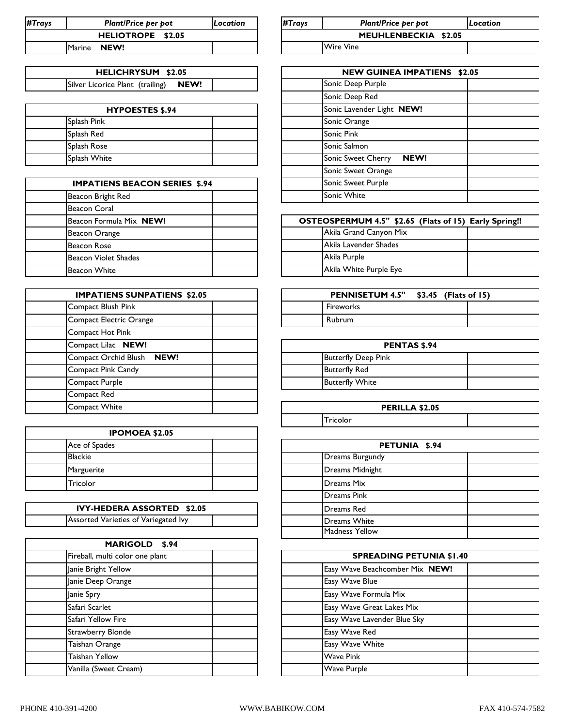| #Trays            |        | <b>Plant/Price per pot</b> | Location             | #Trays<br><b>Plant/Price ber bot</b> |                  | Location |
|-------------------|--------|----------------------------|----------------------|--------------------------------------|------------------|----------|
| HELIOTROPE \$2.05 |        |                            | MEUHLENBECKIA \$2.05 |                                      |                  |          |
|                   | Marine | NEW!                       |                      |                                      | <b>Wire Vine</b> |          |

| <b>HELICHRYSUM \$2.05</b>                |  | <b>NEW GUIN</b>   |
|------------------------------------------|--|-------------------|
| Silver Licorice Plant (trailing)<br>NEW! |  | Sonic Deep Purple |

| <b>HYPOESTES \$.94</b> |  |  | Sonic Lavender Light NEW! |      |
|------------------------|--|--|---------------------------|------|
| Splash Pink            |  |  | Sonic Orange              |      |
| Splash Red             |  |  | <b>Sonic Pink</b>         |      |
| Splash Rose            |  |  | Sonic Salmon              |      |
| Splash White           |  |  | Sonic Sweet Cherry        | NEW! |

| <b>IMPATIENS BEACON SERIES \$.94</b> | Sonic Sweet Purple             |
|--------------------------------------|--------------------------------|
| Beacon Bright Red                    | Sonic White                    |
| <b>Beacon Coral</b>                  |                                |
| Beacon Formula Mix NEW!              | <b>OSTEOSPERMUM 4.5" \$2.6</b> |
| Beacon Orange                        | Akila Grand Canyon Mix         |
| <b>Beacon Rose</b>                   | Akila Lavender Shades          |
| <b>Beacon Violet Shades</b>          | Akila Purple                   |
| <b>Beacon White</b>                  | Akila White Purple Eye         |

| <b>IMPATIENS SUNPATIENS \$2.05</b> | <b>PENNISETUM</b>          |
|------------------------------------|----------------------------|
| Compact Blush Pink                 | Fireworks                  |
| Compact Electric Orange            | Rubrum                     |
| Compact Hot Pink                   |                            |
| Compact Lilac NEW!                 | P                          |
| Compact Orchid Blush<br>NEW!       | <b>Butterfly Deep Pink</b> |
| Compact Pink Candy                 | <b>Butterfly Red</b>       |
| Compact Purple                     | <b>Butterfly White</b>     |
| Compact Red                        |                            |
| Compact White                      | РF                         |

| <b>IPOMOEA \$2.05</b> |  |                 |
|-----------------------|--|-----------------|
| Ace of Spades         |  |                 |
| <b>Blackie</b>        |  | Dreams Burgundy |
| Marguerite            |  | Dreams Midnight |
| Tricolor              |  | Dreams Mix      |

| <b>IVY-HEDERA ASSORTED \$2.05</b>    |  |  | <b>IDreams Red</b> |
|--------------------------------------|--|--|--------------------|
| Assorted Varieties of Variegated Ivy |  |  | Dreams White       |

| MARIGOLD \$.94                  |                                |
|---------------------------------|--------------------------------|
| Fireball, multi color one plant | <b>SPREADING PETUNIA \$</b>    |
| Janie Bright Yellow             | Easy Wave Beachcomber Mix NEW! |
| Janie Deep Orange               | Easy Wave Blue                 |
| Janie Spry                      | Easy Wave Formula Mix          |
| Safari Scarlet                  | Easy Wave Great Lakes Mix      |
| Safari Yellow Fire              | Easy Wave Lavender Blue Sky    |
| Strawberry Blonde               | Easy Wave Red                  |
| Taishan Orange                  | Easy Wave White                |
| <b>Taishan Yellow</b>           | <b>Wave Pink</b>               |
| Vanilla (Sweet Cream)           | <b>Wave Purple</b>             |

| #Trays<br><b>Plant/Price per pot</b> |                      | <i><b>Location</b></i> |
|--------------------------------------|----------------------|------------------------|
|                                      | MEUHLENBECKIA \$2.05 |                        |
|                                      | <b>Wire Vine</b>     |                        |

| <b>NEW GUINEA IMPATIENS</b><br>\$2.05 |                                   |  |  |  |
|---------------------------------------|-----------------------------------|--|--|--|
|                                       | Sonic Deep Purple                 |  |  |  |
|                                       | Sonic Deep Red                    |  |  |  |
|                                       | Sonic Lavender Light NEW!         |  |  |  |
|                                       | Sonic Orange                      |  |  |  |
|                                       | Sonic Pink                        |  |  |  |
|                                       | Sonic Salmon                      |  |  |  |
|                                       | NEW!<br><b>Sonic Sweet Cherry</b> |  |  |  |
|                                       | Sonic Sweet Orange                |  |  |  |
|                                       | Sonic Sweet Purple                |  |  |  |
|                                       | Sonic White                       |  |  |  |

| OSTEOSPERMUM 4.5" \$2.65 (Flats of 15) Early Spring!! |  |
|-------------------------------------------------------|--|
| Akila Grand Canyon Mix                                |  |
| Akila Lavender Shades                                 |  |
| Akila Purple                                          |  |
| Akila White Purple Eye                                |  |

| <b>PENNISETUM 4.5"</b> | $$3.45$ (Flats of 15) |  |
|------------------------|-----------------------|--|
| Fireworks              |                       |  |
| <b>Rubrum</b>          |                       |  |

| <b>PENTAS \$.94</b> |                            |  |  |
|---------------------|----------------------------|--|--|
|                     | <b>Butterfly Deep Pink</b> |  |  |
|                     | <b>Butterfly Red</b>       |  |  |
|                     | <b>Butterfly White</b>     |  |  |

| PERILLA \$2.05 |          |  |  |  |
|----------------|----------|--|--|--|
|                | Tricolor |  |  |  |

| PETUNIA \$.94       |  |  |  |
|---------------------|--|--|--|
| Dreams Burgundy     |  |  |  |
| Dreams Midnight     |  |  |  |
| <b>Dreams Mix</b>   |  |  |  |
| <b>Dreams Pink</b>  |  |  |  |
| <b>Dreams</b> Red   |  |  |  |
| <b>Dreams White</b> |  |  |  |
| Madness Yellow      |  |  |  |

| <b>SPREADING PETUNIA \$1.40</b> |                                |  |  |  |
|---------------------------------|--------------------------------|--|--|--|
|                                 | Easy Wave Beachcomber Mix NEW! |  |  |  |
|                                 | Easy Wave Blue                 |  |  |  |
|                                 | Easy Wave Formula Mix          |  |  |  |
|                                 | Easy Wave Great Lakes Mix      |  |  |  |
|                                 | Easy Wave Lavender Blue Sky    |  |  |  |
|                                 | Easy Wave Red                  |  |  |  |
|                                 | Easy Wave White                |  |  |  |
|                                 | <b>Wave Pink</b>               |  |  |  |
|                                 | Wave Purple                    |  |  |  |